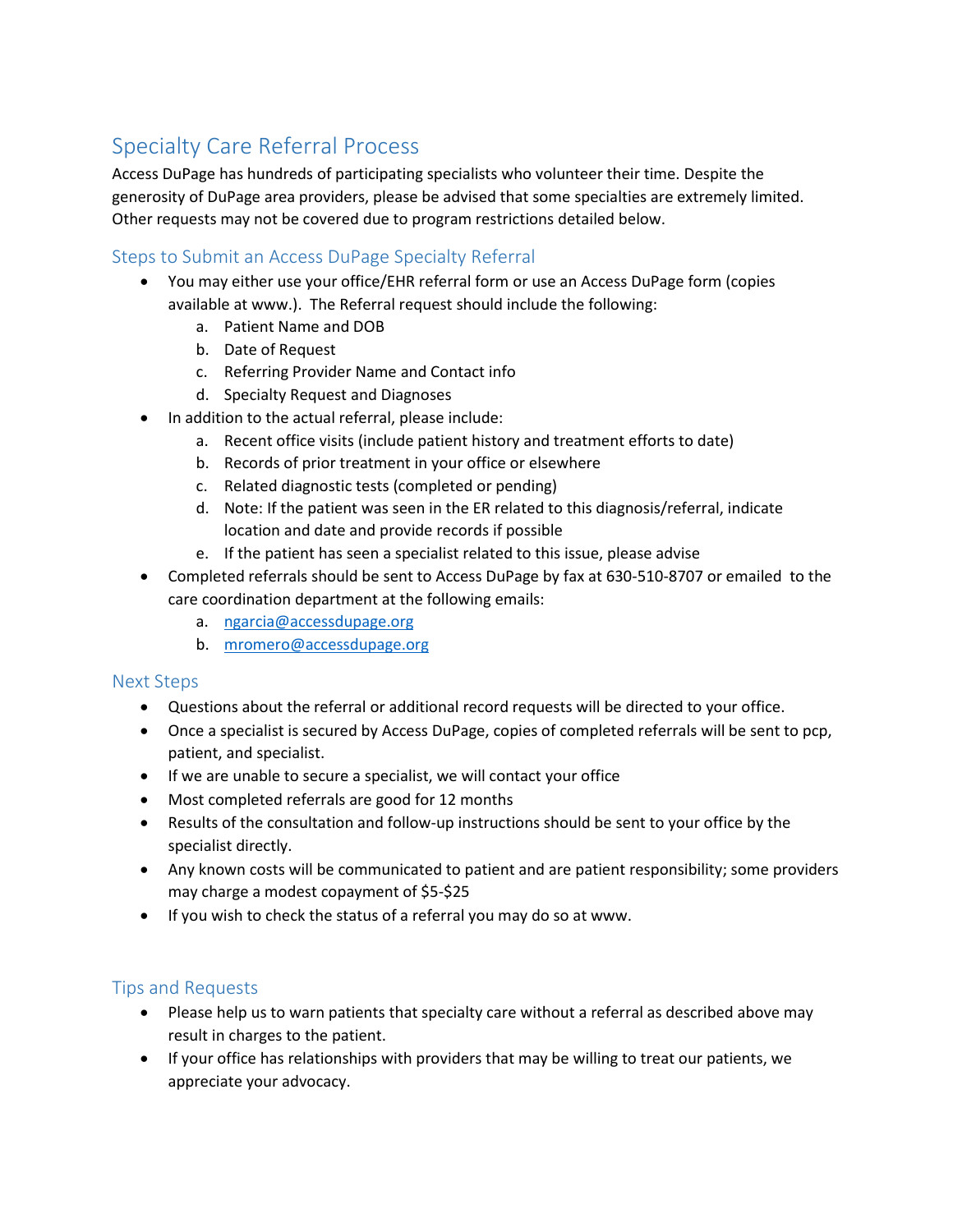## Specialty Care Referral Process

Access DuPage has hundreds of participating specialists who volunteer their time. Despite the generosity of DuPage area providers, please be advised that some specialties are extremely limited. Other requests may not be covered due to program restrictions detailed below.

## Steps to Submit an Access DuPage Specialty Referral

- You may either use your office/EHR referral form or use an Access DuPage form (copies available at www.). The Referral request should include the following:
	- a. Patient Name and DOB
	- b. Date of Request
	- c. Referring Provider Name and Contact info
	- d. Specialty Request and Diagnoses
- In addition to the actual referral, please include:
	- a. Recent office visits (include patient history and treatment efforts to date)
	- b. Records of prior treatment in your office or elsewhere
	- c. Related diagnostic tests (completed or pending)
	- d. Note: If the patient was seen in the ER related to this diagnosis/referral, indicate location and date and provide records if possible
	- e. If the patient has seen a specialist related to this issue, please advise
- Completed referrals should be sent to Access DuPage by fax at 630-510-8707 or emailed to the care coordination department at the following emails:
	- a. [ngarcia@accessdupage.org](mailto:ngarcia@accessdupage.org)
	- b. [mromero@accessdupage.org](mailto:mromero@accessdupage.org)

## Next Steps

- Questions about the referral or additional record requests will be directed to your office.
- Once a specialist is secured by Access DuPage, copies of completed referrals will be sent to pcp, patient, and specialist.
- If we are unable to secure a specialist, we will contact your office
- Most completed referrals are good for 12 months
- Results of the consultation and follow-up instructions should be sent to your office by the specialist directly.
- Any known costs will be communicated to patient and are patient responsibility; some providers may charge a modest copayment of \$5-\$25
- If you wish to check the status of a referral you may do so at www.

## Tips and Requests

- Please help us to warn patients that specialty care without a referral as described above may result in charges to the patient.
- If your office has relationships with providers that may be willing to treat our patients, we appreciate your advocacy.